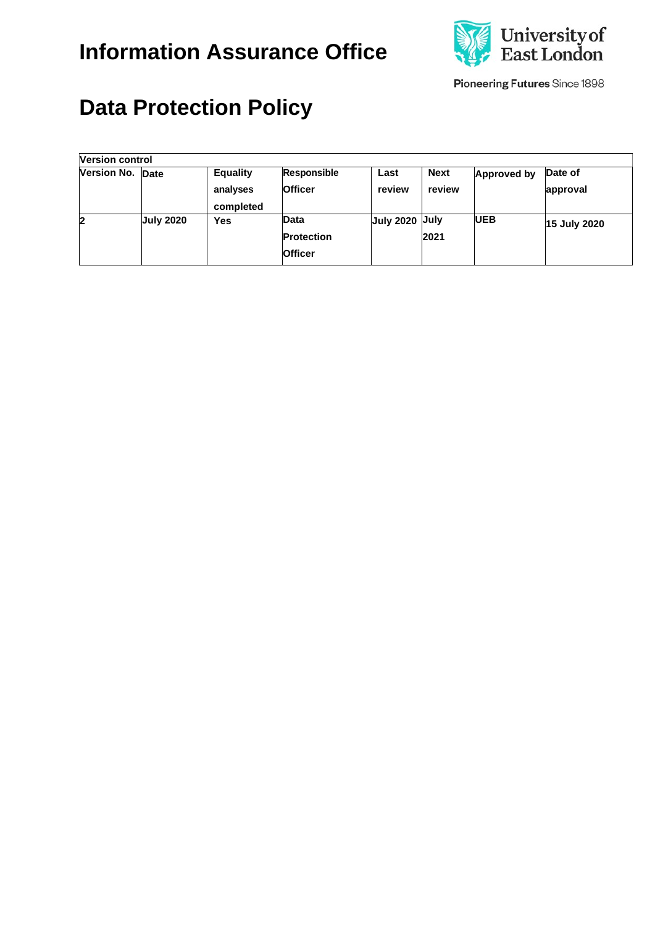

Pioneering Futures Since 1898

# **Data Protection Policy**

| Version control  |                  |                                          |                                                    |                |                       |             |                     |  |
|------------------|------------------|------------------------------------------|----------------------------------------------------|----------------|-----------------------|-------------|---------------------|--|
| Version No. Date |                  | <b>Equality</b><br>analyses<br>completed | Responsible<br><b>Officer</b>                      | Last<br>review | <b>Next</b><br>review | Approved by | Date of<br>approval |  |
| 12               | <b>July 2020</b> | Yes                                      | <b>Data</b><br><b>Protection</b><br><b>Officer</b> | July 2020 July | 2021                  | <b>UEB</b>  | <b>15 July 2020</b> |  |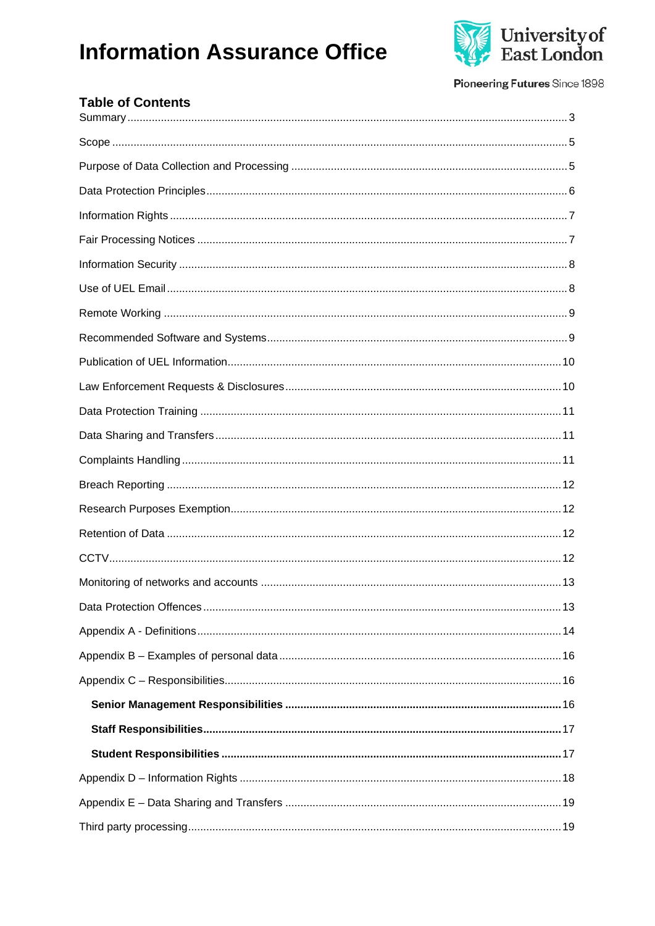

Pioneering Futures Since 1898

| <b>Table of Contents</b> |
|--------------------------|
|                          |
|                          |
|                          |
|                          |
|                          |
|                          |
|                          |
|                          |
|                          |
|                          |
|                          |
|                          |
|                          |
|                          |
|                          |
|                          |
|                          |
|                          |
|                          |
|                          |
|                          |
|                          |
|                          |
|                          |
|                          |
|                          |
|                          |
|                          |
|                          |
|                          |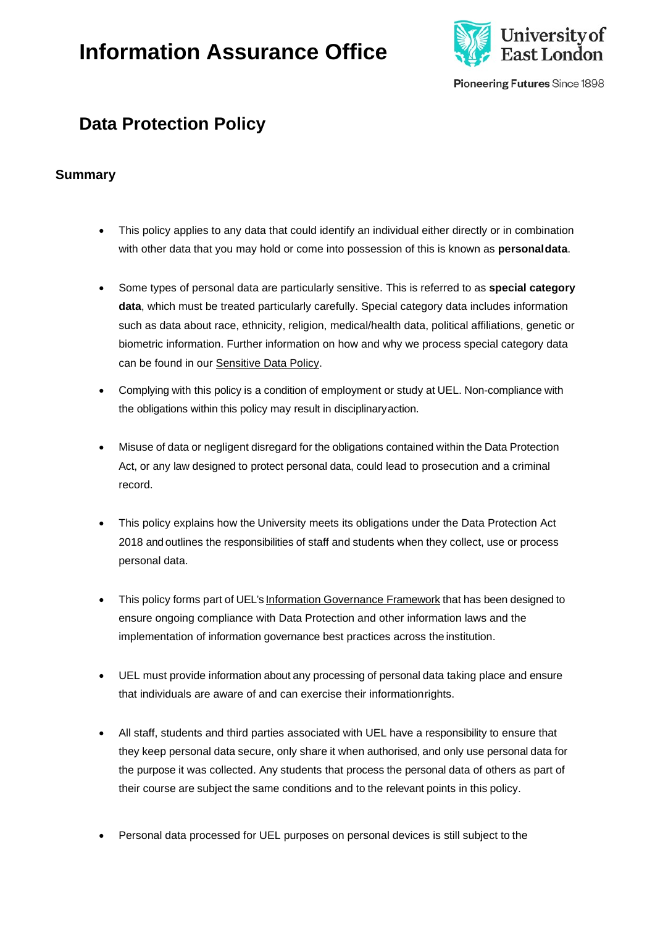

Pioneering Futures Since 1898

### **Data Protection Policy**

#### <span id="page-2-0"></span>**Summary**

- This policy applies to any data that could identify an individual either directly or in combination with other data that you may hold or come into possession of this is known as **personaldata**.
- Some types of personal data are particularly sensitive. This is referred to as **special category data**, which must be treated particularly carefully. Special category data includes information such as data about race, ethnicity, religion, medical/health data, political affiliations, genetic or biometric information. Further information on how and why we process special category data can be found in our [Sensitive Data](https://uelac.sharepoint.com/sites/GovernanceandLegal/SiteAssets/SitePages/Policies/Schedule%201%20Policy%20Document.pdf) Policy.
- Complying with this policy is a condition of employment or study at UEL. Non-compliance with the obligations within this policy may result in disciplinaryaction.
- Misuse of data or negligent disregard for the obligations contained within the Data Protection Act, or any law designed to protect personal data, could lead to prosecution and a criminal record.
- This policy explains how the University meets its obligations under the Data Protection Act 2018 and outlines the responsibilities of staff and students when they collect, use or process personal data.
- This policy forms part of UEL's Information [Governance](https://uelac.sharepoint.com/sites/GovernanceandLegal/SitePages/Information-Assurance-Office/Information-Governance/Information-Governance.aspx) Framework that has been designed to ensure ongoing compliance with Data Protection and other information laws and the implementation of information governance best practices across the institution.
- UEL must provide information about any processing of personal data taking place and ensure that individuals are aware of and can exercise their informationrights.
- All staff, students and third parties associated with UEL have a responsibility to ensure that they keep personal data secure, only share it when authorised, and only use personal data for the purpose it was collected. Any students that process the personal data of others as part of their course are subject the same conditions and to the relevant points in this policy.
- Personal data processed for UEL purposes on personal devices is still subject to the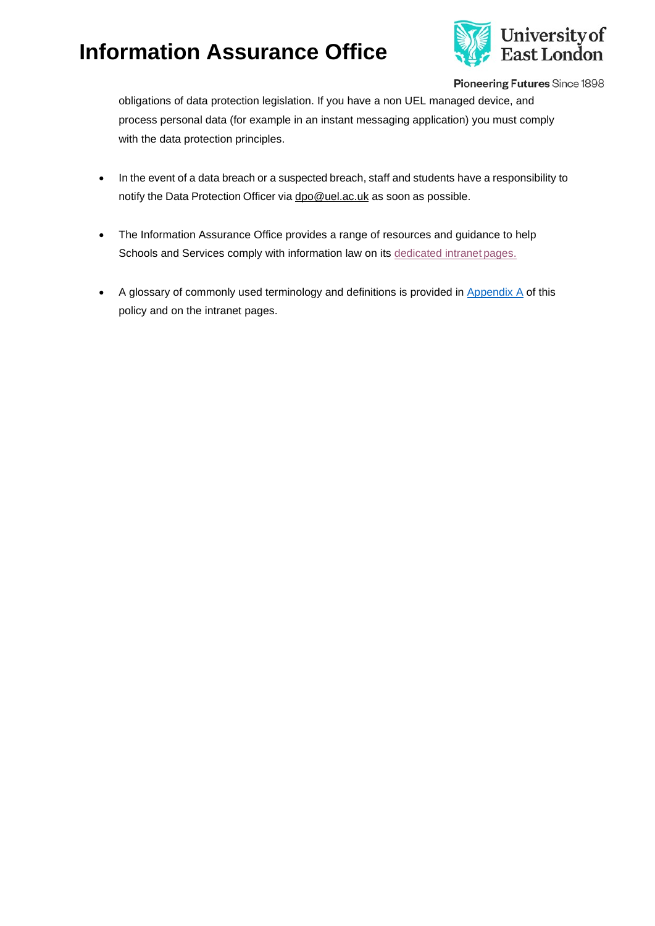

Pioneering Futures Since 1898

obligations of data protection legislation. If you have a non UEL managed device, and process personal data (for example in an instant messaging application) you must comply with the data protection principles.

- In the event of a data breach or a suspected breach, staff and students have a responsibility to notify the Data Protection Officer via [dpo@uel.ac.uk](mailto:dpo@uel.ac.uk) as soon as possible.
- The Information Assurance Office provides a range of resources and guidance to help Schools and Services comply with information law on its [dedicated intranet](https://uelac.sharepoint.com/sites/GovernanceandLegal/SitePages/Information-Assurance-Office.aspx?web=1) pages.
- A glossary of commonly used terminology and definitions is provided in [Appendix A](#page-13-0) of this policy and on the intranet pages.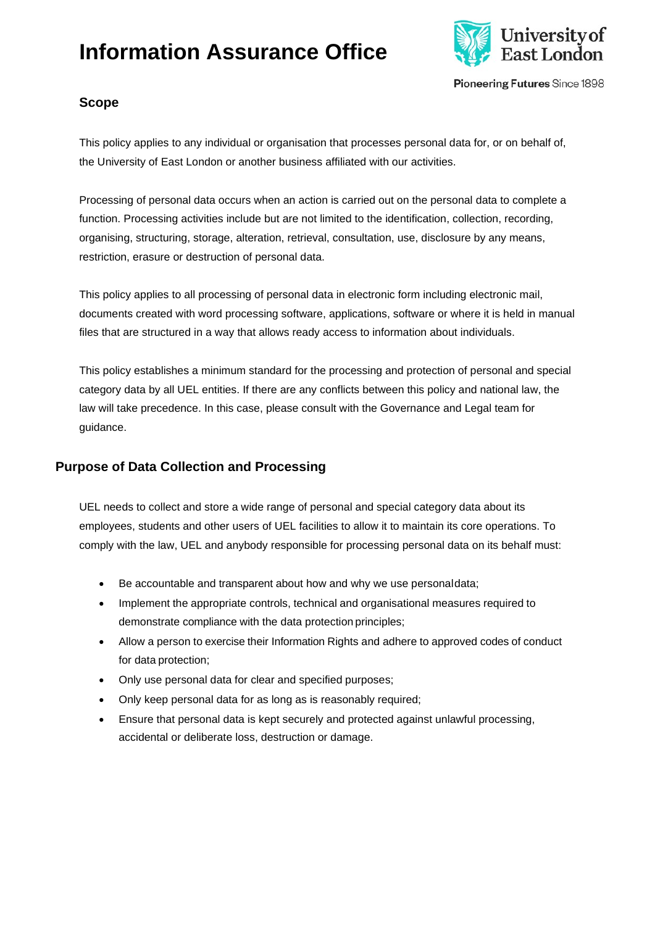

Pioneering Futures Since 1898

### <span id="page-4-0"></span>**Scope**

This policy applies to any individual or organisation that processes personal data for, or on behalf of, the University of East London or another business affiliated with our activities.

Processing of personal data occurs when an action is carried out on the personal data to complete a function. Processing activities include but are not limited to the identification, collection, recording, organising, structuring, storage, alteration, retrieval, consultation, use, disclosure by any means, restriction, erasure or destruction of personal data.

This policy applies to all processing of personal data in electronic form including electronic mail, documents created with word processing software, applications, software or where it is held in manual files that are structured in a way that allows ready access to information about individuals.

This policy establishes a minimum standard for the processing and protection of personal and special category data by all UEL entities. If there are any conflicts between this policy and national law, the law will take precedence. In this case, please consult with the Governance and Legal team for guidance.

### <span id="page-4-1"></span>**Purpose of Data Collection and Processing**

UEL needs to collect and store a wide range of personal and special category data about its employees, students and other users of UEL facilities to allow it to maintain its core operations. To comply with the law, UEL and anybody responsible for processing personal data on its behalf must:

- Be accountable and transparent about how and why we use personaldata;
- Implement the appropriate controls, technical and organisational measures required to demonstrate compliance with the data protection principles;
- Allow a person to exercise their Information Rights and adhere to approved codes of conduct for data protection;
- Only use personal data for clear and specified purposes;
- Only keep personal data for as long as is reasonably required;
- Ensure that personal data is kept securely and protected against unlawful processing, accidental or deliberate loss, destruction or damage.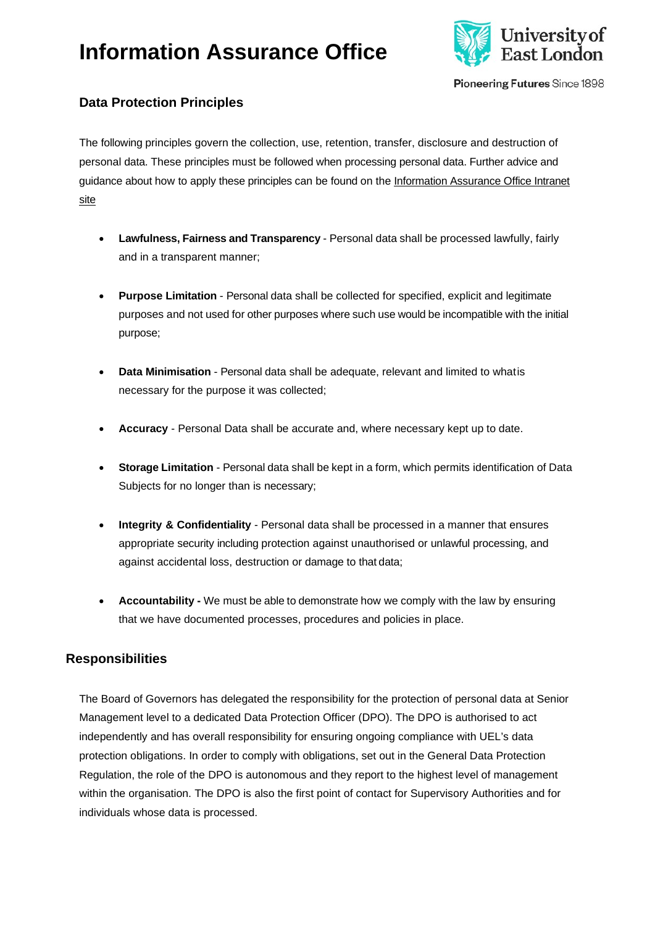

Pioneering Futures Since 1898

### <span id="page-5-0"></span>**Data Protection Principles**

The following principles govern the collection, use, retention, transfer, disclosure and destruction of personal data. These principles must be followed when processing personal data. Further advice and guidance about how to apply these principles can be found on the [Information Assurance Office Intranet](https://uelac.sharepoint.com/sites/GovernanceandLegal/SitePages/Information-Assurance-Office.aspx?web=1) [site](https://uelac.sharepoint.com/sites/GovernanceandLegal/SitePages/Information-Assurance-Office.aspx?web=1)

- **Lawfulness, Fairness and Transparency** Personal data shall be processed lawfully, fairly and in a transparent manner;
- **Purpose Limitation**  Personal data shall be collected for specified, explicit and legitimate purposes and not used for other purposes where such use would be incompatible with the initial purpose;
- **Data Minimisation**  Personal data shall be adequate, relevant and limited to whatis necessary for the purpose it was collected;
- **Accuracy**  Personal Data shall be accurate and, where necessary kept up to date.
- **Storage Limitation** Personal data shall be kept in a form, which permits identification of Data Subjects for no longer than is necessary;
- **Integrity & Confidentiality**  Personal data shall be processed in a manner that ensures appropriate security including protection against unauthorised or unlawful processing, and against accidental loss, destruction or damage to that data;
- **Accountability -** We must be able to demonstrate how we comply with the law by ensuring that we have documented processes, procedures and policies in place.

### **Responsibilities**

The Board of Governors has delegated the responsibility for the protection of personal data at Senior Management level to a dedicated Data Protection Officer (DPO). The DPO is authorised to act independently and has overall responsibility for ensuring ongoing compliance with UEL's data protection obligations. In order to comply with obligations, set out in the General Data Protection Regulation, the role of the DPO is autonomous and they report to the highest level of management within the organisation. The DPO is also the first point of contact for Supervisory Authorities and for individuals whose data is processed.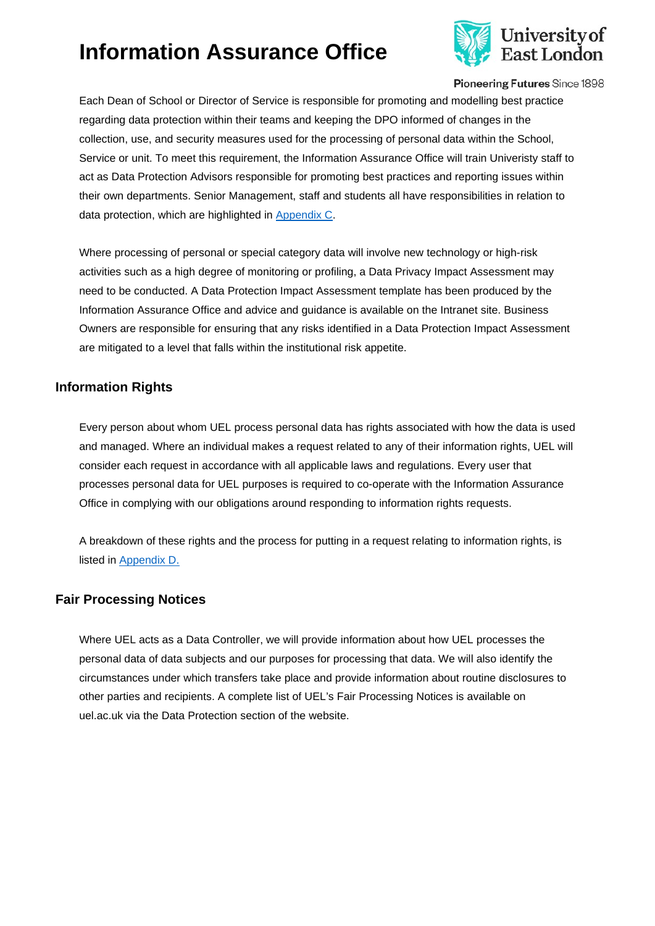

Pioneering Futures Since 1898

Each Dean of School or Director of Service is responsible for promoting and modelling best practice regarding data protection within their teams and keeping the DPO informed of changes in the collection, use, and security measures used for the processing of personal data within the School, Service or unit. To meet this requirement, the Information Assurance Office will train Univeristy staff to act as Data Protection Advisors responsible for promoting best practices and reporting issues within their own departments. Senior Management, staff and students all have responsibilities in relation to data protection, which are highlighted in [Appendix C.](#page-15-1)

Where processing of personal or special category data will involve new technology or high-risk activities such as a high degree of monitoring or profiling, a Data Privacy Impact Assessment may need to be conducted. A Data Protection Impact Assessment template has been produced by the Information Assurance Office and advice and guidance is available on the Intranet site. Business Owners are responsible for ensuring that any risks identified in a Data Protection Impact Assessment are mitigated to a level that falls within the institutional risk appetite.

#### <span id="page-6-0"></span>**Information Rights**

Every person about whom UEL process personal data has rights associated with how the data is used and managed. Where an individual makes a request related to any of their information rights, UEL will consider each request in accordance with all applicable laws and regulations. Every user that processes personal data for UEL purposes is required to co-operate with the Information Assurance Office in complying with our obligations around responding to information rights requests.

A breakdown of these rights and the process for putting in a request relating to information rights, is listed in [Appendix D.](#page-17-0)

#### <span id="page-6-1"></span>**Fair Processing Notices**

Where UEL acts as a Data Controller, we will provide information about how UEL processes the personal data of data subjects and our purposes for processing that data. We will also identify the circumstances under which transfers take place and provide information about routine disclosures to other parties and recipients. A complete list of UEL's Fair Processing Notices is available on uel.ac.uk via the Data Protection section of the website.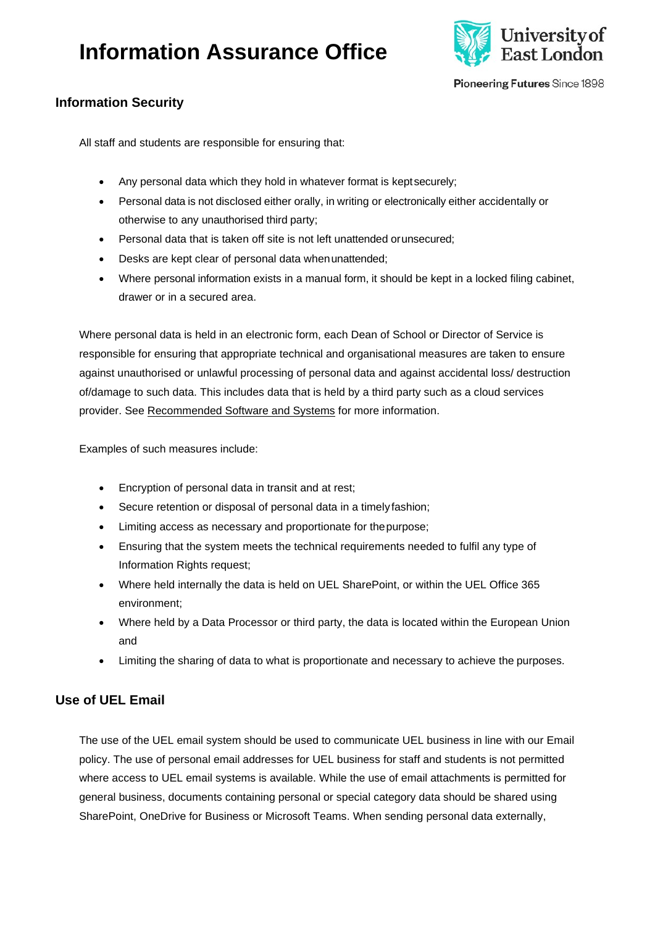

Pioneering Futures Since 1898

### <span id="page-7-0"></span>**Information Security**

All staff and students are responsible for ensuring that:

- Any personal data which they hold in whatever format is keptsecurely;
- Personal data is not disclosed either orally, in writing or electronically either accidentally or otherwise to any unauthorised third party;
- Personal data that is taken off site is not left unattended orunsecured;
- Desks are kept clear of personal data whenunattended;
- Where personal information exists in a manual form, it should be kept in a locked filing cabinet, drawer or in a secured area.

Where personal data is held in an electronic form, each Dean of School or Director of Service is responsible for ensuring that appropriate technical and organisational measures are taken to ensure against unauthorised or unlawful processing of personal data and against accidental loss/ destruction of/damage to such data. This includes data that is held by a third party such as a cloud services provider. See [Recommended Software and Systems](#page-8-1) for more information.

Examples of such measures include:

- Encryption of personal data in transit and at rest;
- Secure retention or disposal of personal data in a timely fashion;
- Limiting access as necessary and proportionate for thepurpose;
- Ensuring that the system meets the technical requirements needed to fulfil any type of Information Rights request;
- Where held internally the data is held on UEL SharePoint, or within the UEL Office 365 environment;
- Where held by a Data Processor or third party, the data is located within the European Union and
- Limiting the sharing of data to what is proportionate and necessary to achieve the purposes.

### <span id="page-7-1"></span>**Use of UEL Email**

The use of the UEL email system should be used to communicate UEL business in line with our Email policy. The use of personal email addresses for UEL business for staff and students is not permitted where access to UEL email systems is available. While the use of email attachments is permitted for general business, documents containing personal or special category data should be shared using SharePoint, OneDrive for Business or Microsoft Teams. When sending personal data externally,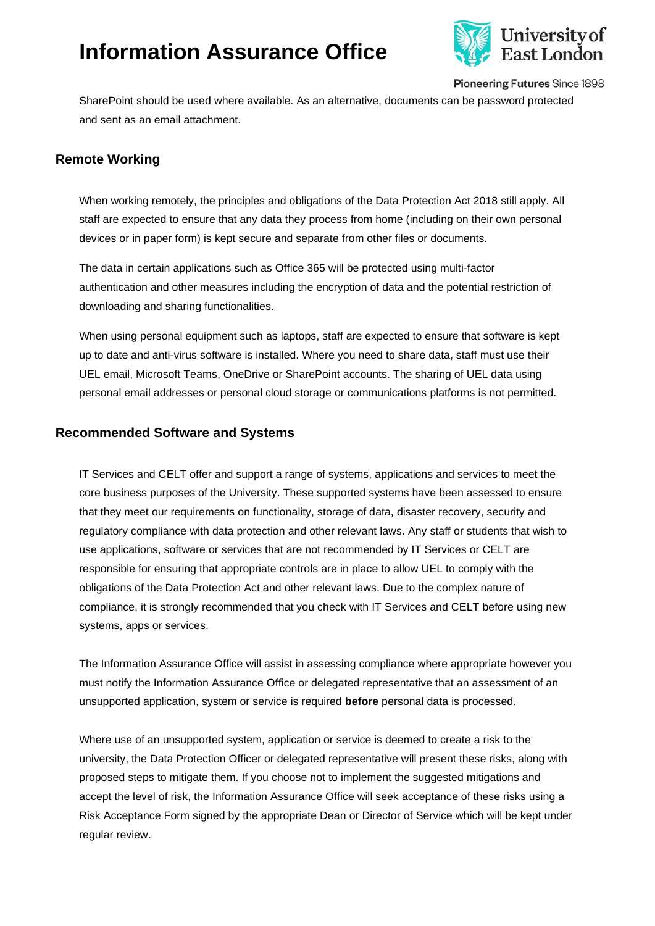

Pioneering Futures Since 1898

SharePoint should be used where available. As an alternative, documents can be password protected and sent as an email attachment.

### <span id="page-8-0"></span>**Remote Working**

When working remotely, the principles and obligations of the Data Protection Act 2018 still apply. All staff are expected to ensure that any data they process from home (including on their own personal devices or in paper form) is kept secure and separate from other files or documents.

The data in certain applications such as Office 365 will be protected using multi-factor authentication and other measures including the encryption of data and the potential restriction of downloading and sharing functionalities.

When using personal equipment such as laptops, staff are expected to ensure that software is kept up to date and anti-virus software is installed. Where you need to share data, staff must use their UEL email, Microsoft Teams, OneDrive or SharePoint accounts. The sharing of UEL data using personal email addresses or personal cloud storage or communications platforms is not permitted.

#### <span id="page-8-1"></span>**Recommended Software and Systems**

IT Services and CELT offer and support a range of systems, applications and services to meet the core business purposes of the University. These supported systems have been assessed to ensure that they meet our requirements on functionality, storage of data, disaster recovery, security and regulatory compliance with data protection and other relevant laws. Any staff or students that wish to use applications, software or services that are not recommended by IT Services or CELT are responsible for ensuring that appropriate controls are in place to allow UEL to comply with the obligations of the Data Protection Act and other relevant laws. Due to the complex nature of compliance, it is strongly recommended that you check with IT Services and CELT before using new systems, apps or services.

The Information Assurance Office will assist in assessing compliance where appropriate however you must notify the Information Assurance Office or delegated representative that an assessment of an unsupported application, system or service is required **before** personal data is processed.

Where use of an unsupported system, application or service is deemed to create a risk to the university, the Data Protection Officer or delegated representative will present these risks, along with proposed steps to mitigate them. If you choose not to implement the suggested mitigations and accept the level of risk, the Information Assurance Office will seek acceptance of these risks using a Risk Acceptance Form signed by the appropriate Dean or Director of Service which will be kept under regular review.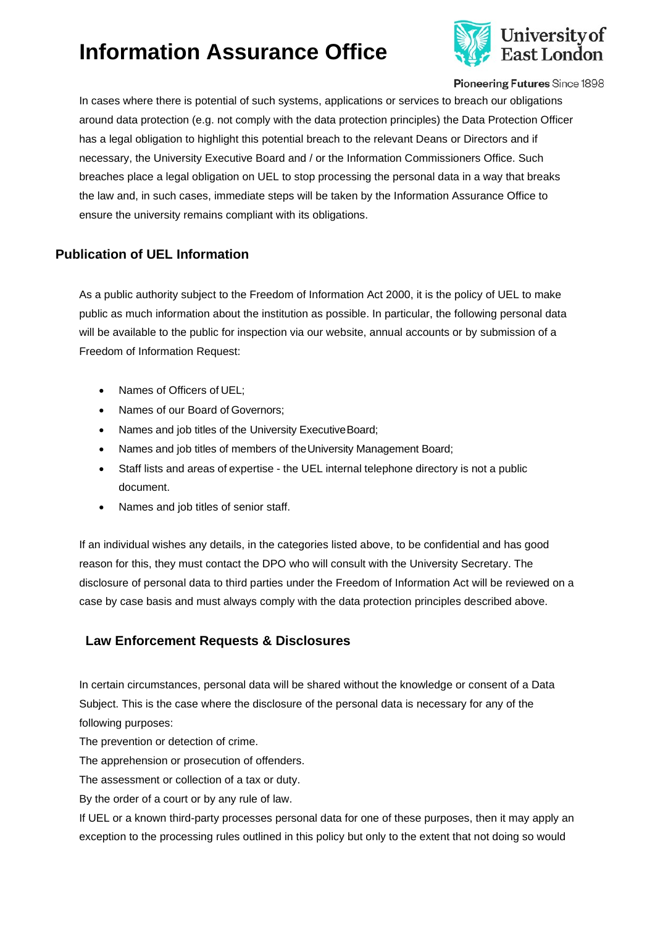

Pioneering Futures Since 1898

In cases where there is potential of such systems, applications or services to breach our obligations around data protection (e.g. not comply with the data protection principles) the Data Protection Officer has a legal obligation to highlight this potential breach to the relevant Deans or Directors and if necessary, the University Executive Board and / or the Information Commissioners Office. Such breaches place a legal obligation on UEL to stop processing the personal data in a way that breaks the law and, in such cases, immediate steps will be taken by the Information Assurance Office to ensure the university remains compliant with its obligations.

### <span id="page-9-0"></span>**Publication of UEL Information**

As a public authority subject to the Freedom of Information Act 2000, it is the policy of UEL to make public as much information about the institution as possible. In particular, the following personal data will be available to the public for inspection via our website, annual accounts or by submission of a Freedom of Information Request:

- Names of Officers of UEL;
- Names of our Board of Governors;
- Names and job titles of the University Executive Board;
- Names and job titles of members of the University Management Board;
- Staff lists and areas of expertise the UEL internal telephone directory is not a public document.
- Names and job titles of senior staff.

If an individual wishes any details, in the categories listed above, to be confidential and has good reason for this, they must contact the DPO who will consult with the University Secretary. The disclosure of personal data to third parties under the Freedom of Information Act will be reviewed on a case by case basis and must always comply with the data protection principles described above.

#### <span id="page-9-1"></span>**Law Enforcement Requests & Disclosures**

In certain circumstances, personal data will be shared without the knowledge or consent of a Data Subject. This is the case where the disclosure of the personal data is necessary for any of the following purposes:

The prevention or detection of crime.

The apprehension or prosecution of offenders.

The assessment or collection of a tax or duty.

By the order of a court or by any rule of law.

If UEL or a known third-party processes personal data for one of these purposes, then it may apply an exception to the processing rules outlined in this policy but only to the extent that not doing so would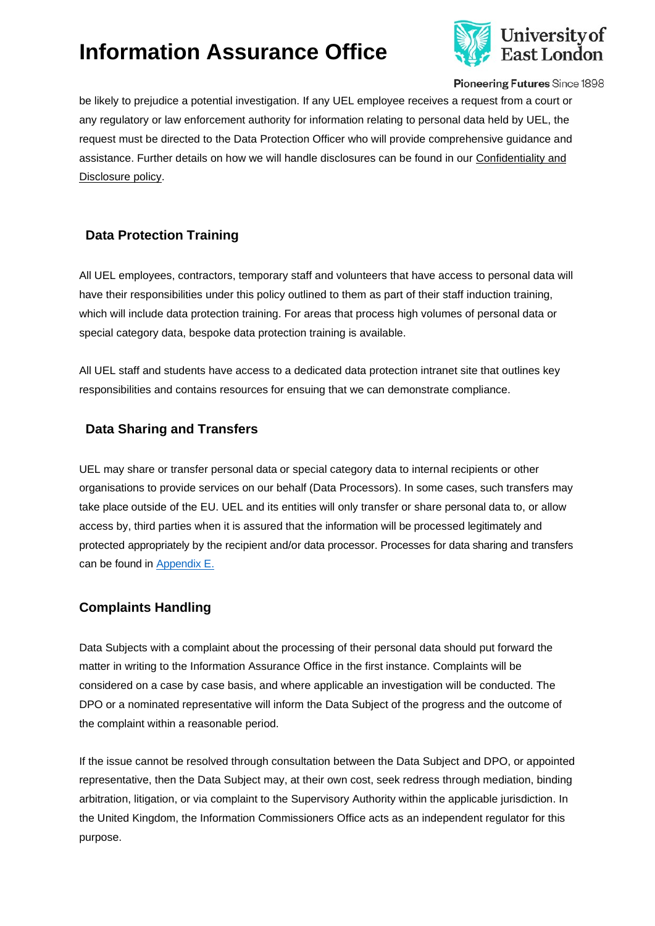

Pioneering Futures Since 1898

be likely to prejudice a potential investigation. If any UEL employee receives a request from a court or any regulatory or law enforcement authority for information relating to personal data held by UEL, the request must be directed to the Data Protection Officer who will provide comprehensive guidance and assistance. Further details on how we will handle disclosures can be found in our [Confidentiality and](https://uelac.sharepoint.com/sites/GovernanceandLegal/SiteAssets/SitePages/Policies/Confidentiality%20and%20Disclosure%20Policy.pdf) [Disclosure policy.](https://uelac.sharepoint.com/sites/GovernanceandLegal/SiteAssets/SitePages/Policies/Confidentiality%20and%20Disclosure%20Policy.pdf)

### <span id="page-10-0"></span>**Data Protection Training**

All UEL employees, contractors, temporary staff and volunteers that have access to personal data will have their responsibilities under this policy outlined to them as part of their staff induction training, which will include data protection training. For areas that process high volumes of personal data or special category data, bespoke data protection training is available.

All UEL staff and students have access to a dedicated data protection intranet site that outlines key responsibilities and contains resources for ensuing that we can demonstrate compliance.

### <span id="page-10-1"></span>**Data Sharing and Transfers**

UEL may share or transfer personal data or special category data to internal recipients or other organisations to provide services on our behalf (Data Processors). In some cases, such transfers may take place outside of the EU. UEL and its entities will only transfer or share personal data to, or allow access by, third parties when it is assured that the information will be processed legitimately and protected appropriately by the recipient and/or data processor. Processes for data sharing and transfers can be found in [Appendix E.](#page-18-0)

#### <span id="page-10-2"></span>**Complaints Handling**

Data Subjects with a complaint about the processing of their personal data should put forward the matter in writing to the Information Assurance Office in the first instance. Complaints will be considered on a case by case basis, and where applicable an investigation will be conducted. The DPO or a nominated representative will inform the Data Subject of the progress and the outcome of the complaint within a reasonable period.

If the issue cannot be resolved through consultation between the Data Subject and DPO, or appointed representative, then the Data Subject may, at their own cost, seek redress through mediation, binding arbitration, litigation, or via complaint to the Supervisory Authority within the applicable jurisdiction. In the United Kingdom, the Information Commissioners Office acts as an independent regulator for this purpose.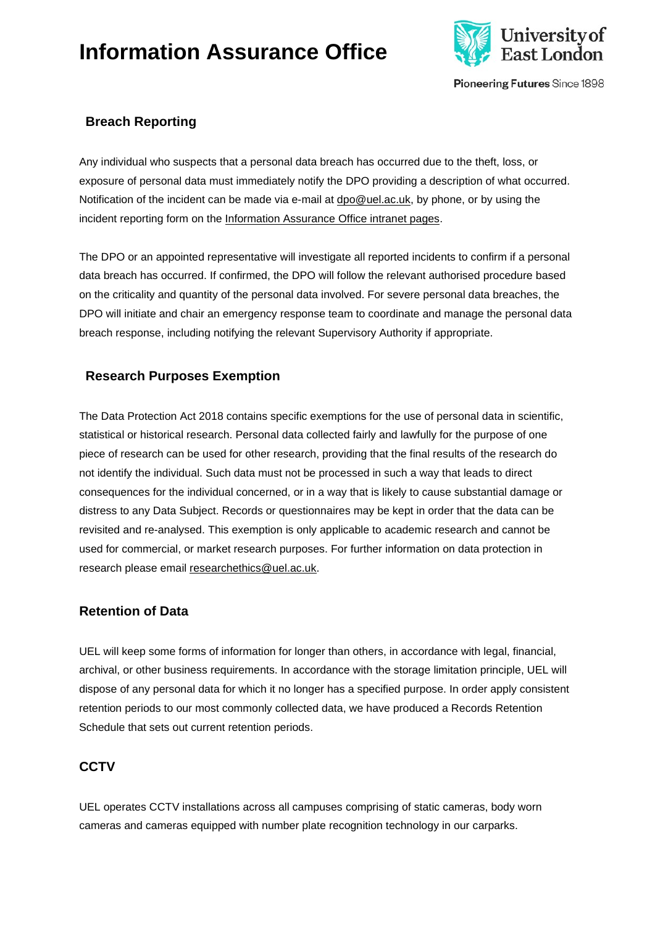

Pioneering Futures Since 1898

### <span id="page-11-0"></span>**Breach Reporting**

Any individual who suspects that a personal data breach has occurred due to the theft, loss, or exposure of personal data must immediately notify the DPO providing a description of what occurred. Notification of the incident can be made via e-mail at [dpo@uel.ac.uk, b](mailto:dpo@uel.ac.uk)y phone, or by using the incident reporting form on the [Information Assurance Office intranet pages.](https://uelac.sharepoint.com/sites/GovernanceandLegal/SitePages/Information-Assurance-Office/Data-Protection/Data-Protection.aspx)

The DPO or an appointed representative will investigate all reported incidents to confirm if a personal data breach has occurred. If confirmed, the DPO will follow the relevant authorised procedure based on the criticality and quantity of the personal data involved. For severe personal data breaches, the DPO will initiate and chair an emergency response team to coordinate and manage the personal data breach response, including notifying the relevant Supervisory Authority if appropriate.

### <span id="page-11-1"></span>**Research Purposes Exemption**

The Data Protection Act 2018 contains specific exemptions for the use of personal data in scientific, statistical or historical research. Personal data collected fairly and lawfully for the purpose of one piece of research can be used for other research, providing that the final results of the research do not identify the individual. Such data must not be processed in such a way that leads to direct consequences for the individual concerned, or in a way that is likely to cause substantial damage or distress to any Data Subject. Records or questionnaires may be kept in order that the data can be revisited and re-analysed. This exemption is only applicable to academic research and cannot be used for commercial, or market research purposes. For further information on data protection in research please email [researchethics@uel.ac.uk.](mailto:researchethics@uel.ac.uk)

#### <span id="page-11-2"></span>**Retention of Data**

UEL will keep some forms of information for longer than others, in accordance with legal, financial, archival, or other business requirements. In accordance with the storage limitation principle, UEL will dispose of any personal data for which it no longer has a specified purpose. In order apply consistent retention periods to our most commonly collected data, we have produced a Records Retention Schedule that sets out current retention periods.

#### <span id="page-11-3"></span>**CCTV**

UEL operates CCTV installations across all campuses comprising of static cameras, body worn cameras and cameras equipped with number plate recognition technology in our carparks.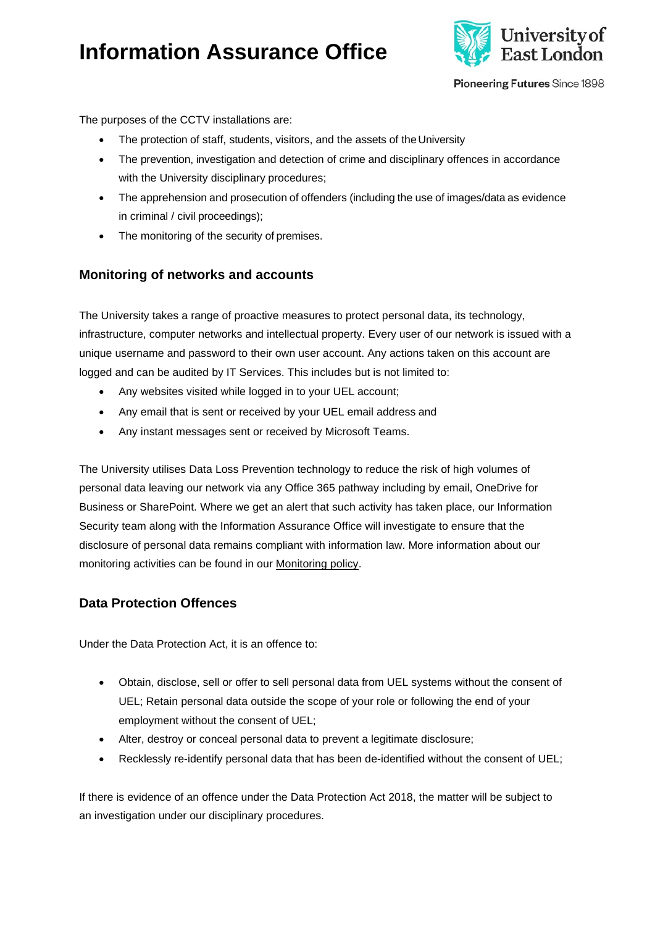

Pioneering Futures Since 1898

The purposes of the CCTV installations are:

- The protection of staff, students, visitors, and the assets of the University
- The prevention, investigation and detection of crime and disciplinary offences in accordance with the University disciplinary procedures;
- The apprehension and prosecution of offenders (including the use of images/data as evidence in criminal / civil proceedings);
- The monitoring of the security of premises.

#### <span id="page-12-0"></span>**Monitoring of networks and accounts**

The University takes a range of proactive measures to protect personal data, its technology, infrastructure, computer networks and intellectual property. Every user of our network is issued with a unique username and password to their own user account. Any actions taken on this account are logged and can be audited by IT Services. This includes but is not limited to:

- Any websites visited while logged in to your UEL account;
- Any email that is sent or received by your UEL email address and
- Any instant messages sent or received by Microsoft Teams.

The University utilises Data Loss Prevention technology to reduce the risk of high volumes of personal data leaving our network via any Office 365 pathway including by email, OneDrive for Business or SharePoint. Where we get an alert that such activity has taken place, our Information Security team along with the Information Assurance Office will investigate to ensure that the disclosure of personal data remains compliant with information law. More information about our monitoring activities can be found in our [Monitoring policy.](https://uelac.sharepoint.com/sites/GovernanceandLegal/SiteAssets/SitePages/Policies/Monitoring%20Policy%20(1).pdf)

#### <span id="page-12-1"></span>**Data Protection Offences**

Under the Data Protection Act, it is an offence to:

- Obtain, disclose, sell or offer to sell personal data from UEL systems without the consent of UEL; Retain personal data outside the scope of your role or following the end of your employment without the consent of UEL;
- Alter, destroy or conceal personal data to prevent a legitimate disclosure;
- Recklessly re-identify personal data that has been de-identified without the consent of UEL;

If there is evidence of an offence under the Data Protection Act 2018, the matter will be subject to an investigation under our disciplinary procedures.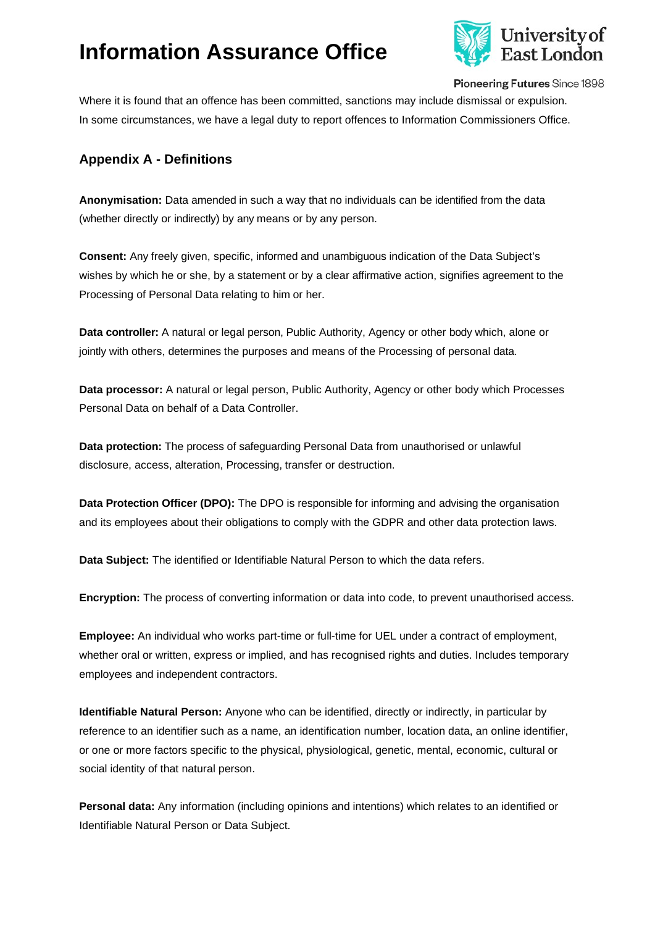

Pioneering Futures Since 1898

Where it is found that an offence has been committed, sanctions may include dismissal or expulsion. In some circumstances, we have a legal duty to report offences to Information Commissioners Office.

### <span id="page-13-0"></span>**Appendix A - Definitions**

**Anonymisation:** Data amended in such a way that no individuals can be identified from the data (whether directly or indirectly) by any means or by any person.

**Consent:** Any freely given, specific, informed and unambiguous indication of the Data Subject's wishes by which he or she, by a statement or by a clear affirmative action, signifies agreement to the Processing of Personal Data relating to him or her.

**Data controller:** A natural or legal person, Public Authority, Agency or other body which, alone or jointly with others, determines the purposes and means of the Processing of personal data.

**Data processor:** A natural or legal person, Public Authority, Agency or other body which Processes Personal Data on behalf of a Data Controller.

**Data protection:** The process of safeguarding Personal Data from unauthorised or unlawful disclosure, access, alteration, Processing, transfer or destruction.

**Data Protection Officer (DPO):** The DPO is responsible for informing and advising the organisation and its employees about their obligations to comply with the GDPR and other data protection laws.

**Data Subject:** The identified or Identifiable Natural Person to which the data refers.

**Encryption:** The process of converting information or data into code, to prevent unauthorised access.

**Employee:** An individual who works part-time or full-time for UEL under a contract of employment, whether oral or written, express or implied, and has recognised rights and duties. Includes temporary employees and independent contractors.

**Identifiable Natural Person:** Anyone who can be identified, directly or indirectly, in particular by reference to an identifier such as a name, an identification number, location data, an online identifier, or one or more factors specific to the physical, physiological, genetic, mental, economic, cultural or social identity of that natural person.

**Personal data:** Any information (including opinions and intentions) which relates to an identified or Identifiable Natural Person or Data Subject.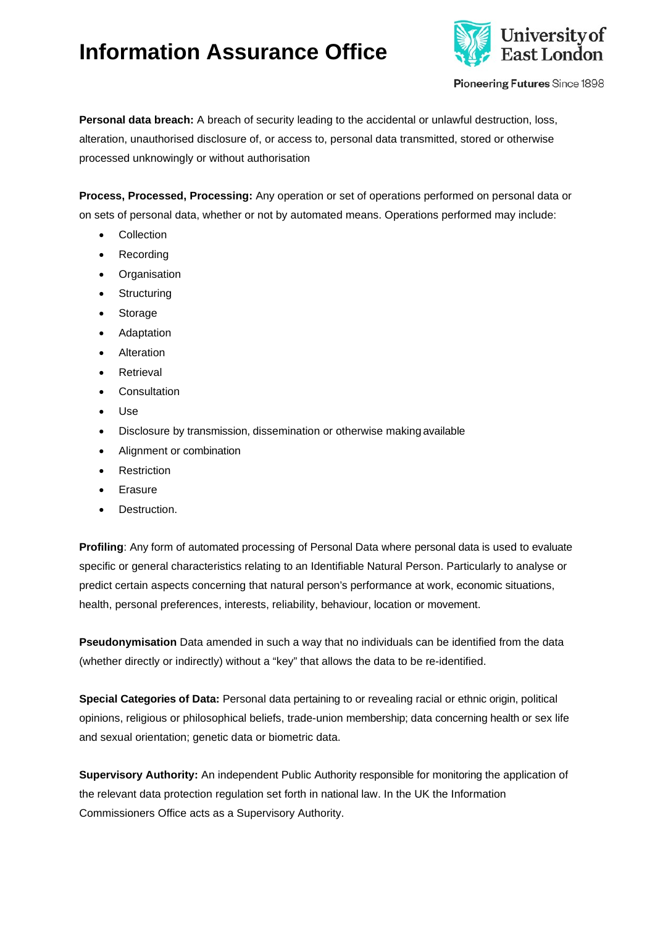

Pioneering Futures Since 1898

**Personal data breach:** A breach of security leading to the accidental or unlawful destruction, loss, alteration, unauthorised disclosure of, or access to, personal data transmitted, stored or otherwise processed unknowingly or without authorisation

**Process, Processed, Processing:** Any operation or set of operations performed on personal data or on sets of personal data, whether or not by automated means. Operations performed may include:

- Collection
- Recording
- Organisation
- Structuring
- Storage
- **Adaptation**
- Alteration
- Retrieval
- Consultation
- Use
- Disclosure by transmission, dissemination or otherwise making available
- Alignment or combination
- **Restriction**
- Erasure
- Destruction.

**Profiling**: Any form of automated processing of Personal Data where personal data is used to evaluate specific or general characteristics relating to an Identifiable Natural Person. Particularly to analyse or predict certain aspects concerning that natural person's performance at work, economic situations, health, personal preferences, interests, reliability, behaviour, location or movement.

**Pseudonymisation** Data amended in such a way that no individuals can be identified from the data (whether directly or indirectly) without a "key" that allows the data to be re-identified.

**Special Categories of Data:** Personal data pertaining to or revealing racial or ethnic origin, political opinions, religious or philosophical beliefs, trade-union membership; data concerning health or sex life and sexual orientation; genetic data or biometric data.

**Supervisory Authority:** An independent Public Authority responsible for monitoring the application of the relevant data protection regulation set forth in national law. In the UK the Information Commissioners Office acts as a Supervisory Authority.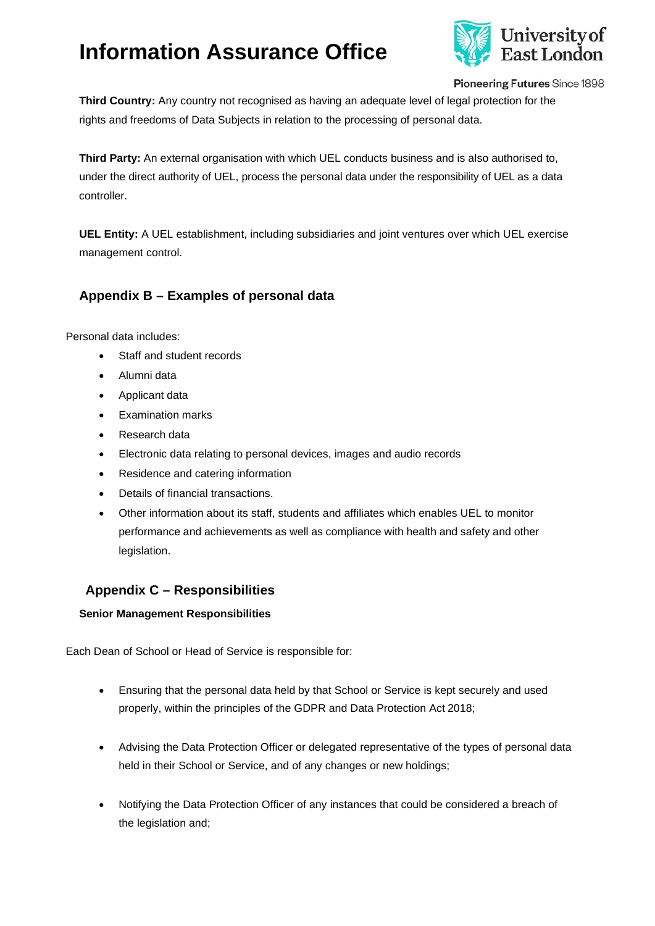

Pioneering Futures Since 1898

**Third Country:** Any country not recognised as having an adequate level of legal protection for the rights and freedoms of Data Subjects in relation to the processing of personal data.

**Third Party:** An external organisation with which UEL conducts business and is also authorised to, under the direct authority of UEL, process the personal data under the responsibility of UEL as a data controller.

**UEL Entity:** A UEL establishment, including subsidiaries and joint ventures over which UEL exercise management control.

### <span id="page-15-0"></span>**Appendix B – Examples of personal data**

Personal data includes:

- Staff and student records
- Alumni data
- Applicant data
- Examination marks
- Research data
- Electronic data relating to personal devices, images and audio records
- Residence and catering information
- Details of financial transactions.
- Other information about its staff, students and affiliates which enables UEL to monitor performance and achievements as well as compliance with health and safety and other legislation.

#### <span id="page-15-1"></span>**Appendix C – Responsibilities**

<span id="page-15-2"></span>**Senior Management Responsibilities**

Each Dean of School or Head of Service is responsible for:

- Ensuring that the personal data held by that School or Service is kept securely and used properly, within the principles of the GDPR and Data Protection Act 2018;
- Advising the Data Protection Officer or delegated representative of the types of personal data held in their School or Service, and of any changes or new holdings;
- Notifying the Data Protection Officer of any instances that could be considered a breach of the legislation and;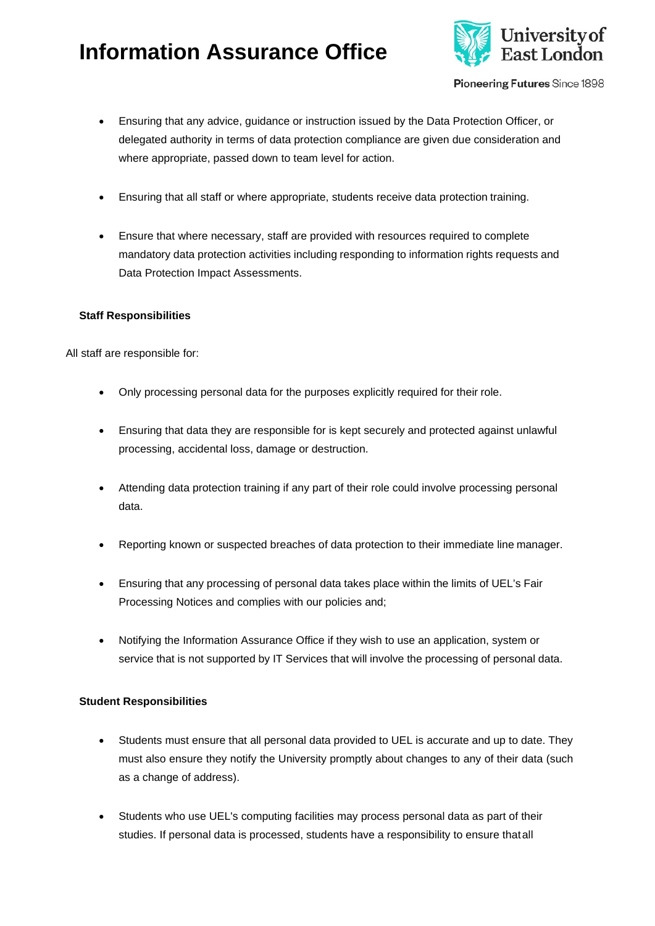

Pioneering Futures Since 1898

- Ensuring that any advice, guidance or instruction issued by the Data Protection Officer, or delegated authority in terms of data protection compliance are given due consideration and where appropriate, passed down to team level for action.
- Ensuring that all staff or where appropriate, students receive data protection training.
- Ensure that where necessary, staff are provided with resources required to complete mandatory data protection activities including responding to information rights requests and Data Protection Impact Assessments.

#### <span id="page-16-0"></span>**Staff Responsibilities**

All staff are responsible for:

- Only processing personal data for the purposes explicitly required for their role.
- Ensuring that data they are responsible for is kept securely and protected against unlawful processing, accidental loss, damage or destruction.
- Attending data protection training if any part of their role could involve processing personal data.
- Reporting known or suspected breaches of data protection to their immediate line manager.
- Ensuring that any processing of personal data takes place within the limits of UEL's Fair Processing Notices and complies with our policies and;
- Notifying the Information Assurance Office if they wish to use an application, system or service that is not supported by IT Services that will involve the processing of personal data.

#### <span id="page-16-1"></span>**Student Responsibilities**

- Students must ensure that all personal data provided to UEL is accurate and up to date. They must also ensure they notify the University promptly about changes to any of their data (such as a change of address).
- Students who use UEL's computing facilities may process personal data as part of their studies. If personal data is processed, students have a responsibility to ensure thatall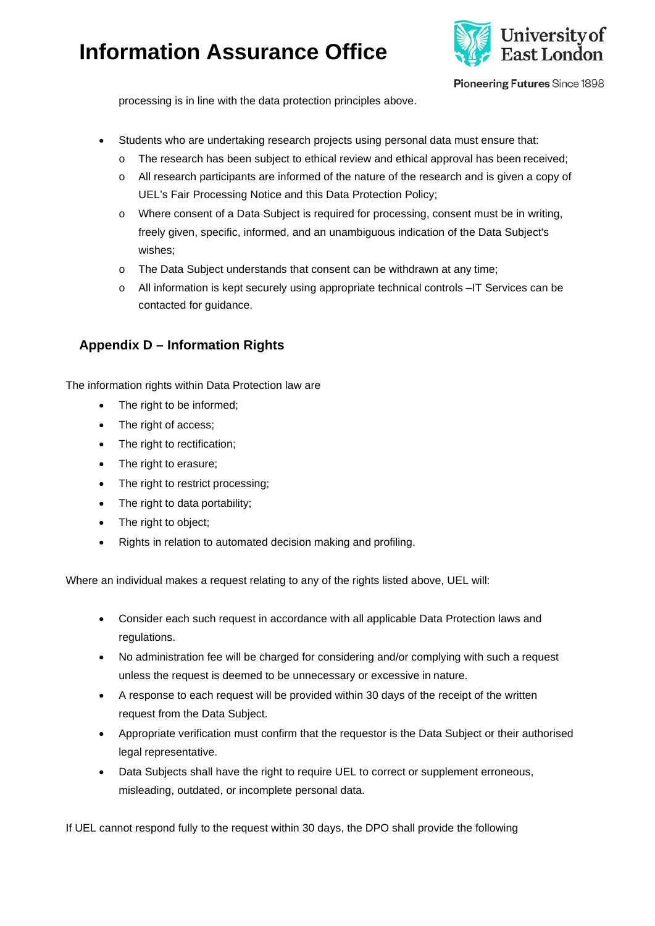

Pioneering Futures Since 1898

processing is in line with the data protection principles above.

- Students who are undertaking research projects using personal data must ensure that:
	- o The research has been subject to ethical review and ethical approval has been received;
	- o All research participants are informed of the nature of the research and is given a copy of UEL's Fair Processing Notice and this Data Protection Policy;
	- o Where consent of a Data Subject is required for processing, consent must be in writing, freely given, specific, informed, and an unambiguous indication of the Data Subject's wishes;
	- o The Data Subject understands that consent can be withdrawn at any time;
	- o All information is kept securely using appropriate technical controls –IT Services can be contacted for guidance.

### <span id="page-17-0"></span>**Appendix D – Information Rights**

The information rights within Data Protection law are

- The right to be informed;
- The right of access;
- The right to rectification;
- The right to erasure;
- The right to restrict processing;
- The right to data portability;
- The right to object;
- Rights in relation to automated decision making and profiling.

Where an individual makes a request relating to any of the rights listed above, UEL will:

- Consider each such request in accordance with all applicable Data Protection laws and regulations.
- No administration fee will be charged for considering and/or complying with such a request unless the request is deemed to be unnecessary or excessive in nature.
- A response to each request will be provided within 30 days of the receipt of the written request from the Data Subject.
- Appropriate verification must confirm that the requestor is the Data Subject or their authorised legal representative.
- Data Subjects shall have the right to require UEL to correct or supplement erroneous, misleading, outdated, or incomplete personal data.

If UEL cannot respond fully to the request within 30 days, the DPO shall provide the following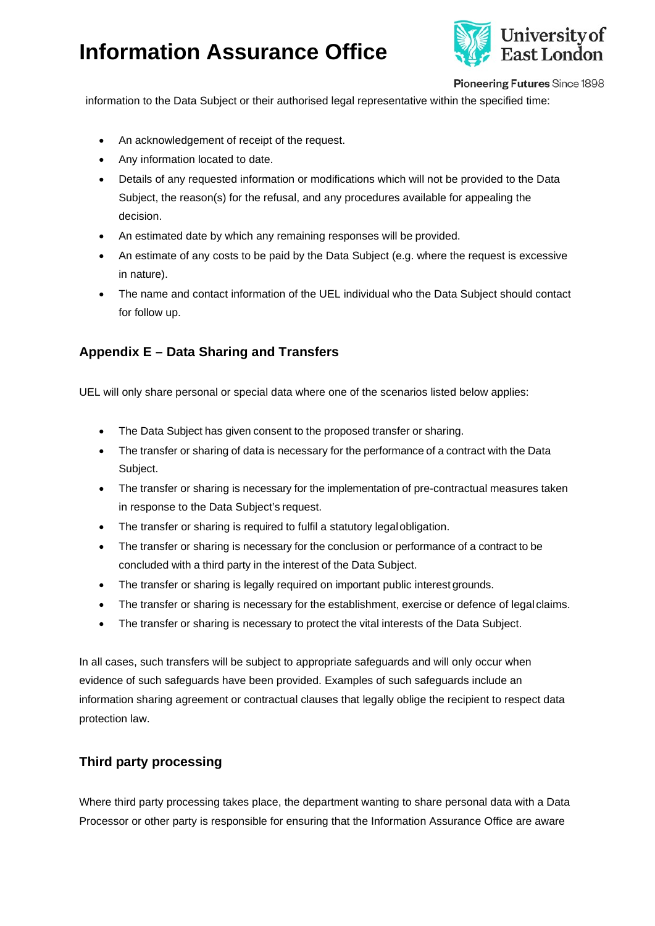

Pioneering Futures Since 1898

information to the Data Subject or their authorised legal representative within the specified time:

- An acknowledgement of receipt of the request.
- Any information located to date.
- Details of any requested information or modifications which will not be provided to the Data Subject, the reason(s) for the refusal, and any procedures available for appealing the decision.
- An estimated date by which any remaining responses will be provided.
- An estimate of any costs to be paid by the Data Subject (e.g. where the request is excessive in nature).
- The name and contact information of the UEL individual who the Data Subject should contact for follow up.

### <span id="page-18-0"></span>**Appendix E – Data Sharing and Transfers**

UEL will only share personal or special data where one of the scenarios listed below applies:

- The Data Subject has given consent to the proposed transfer or sharing.
- The transfer or sharing of data is necessary for the performance of a contract with the Data Subject.
- The transfer or sharing is necessary for the implementation of pre-contractual measures taken in response to the Data Subject's request.
- The transfer or sharing is required to fulfil a statutory legal obligation.
- The transfer or sharing is necessary for the conclusion or performance of a contract to be concluded with a third party in the interest of the Data Subject.
- The transfer or sharing is legally required on important public interest grounds.
- The transfer or sharing is necessary for the establishment, exercise or defence of legal claims.
- The transfer or sharing is necessary to protect the vital interests of the Data Subject.

In all cases, such transfers will be subject to appropriate safeguards and will only occur when evidence of such safeguards have been provided. Examples of such safeguards include an information sharing agreement or contractual clauses that legally oblige the recipient to respect data protection law.

#### <span id="page-18-1"></span>**Third party processing**

Where third party processing takes place, the department wanting to share personal data with a Data Processor or other party is responsible for ensuring that the Information Assurance Office are aware